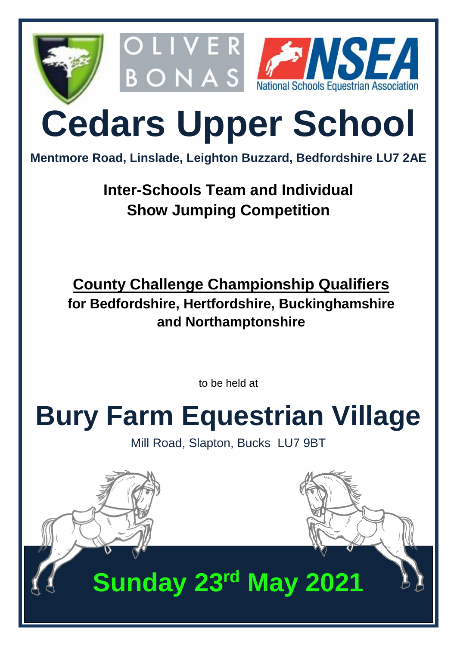

# **Cedars Upper School**

**Mentmore Road, Linslade, Leighton Buzzard, Bedfordshire LU7 2AE**

### **Inter-Schools Team and Individual Show Jumping Competition**

**County Challenge Championship Qualifiers for Bedfordshire, Hertfordshire, Buckinghamshire and Northamptonshire**

to be held at

# **Bury Farm Equestrian Village**

Mill Road, Slapton, Bucks LU7 9BT

## **Sunday 23rd May 2021**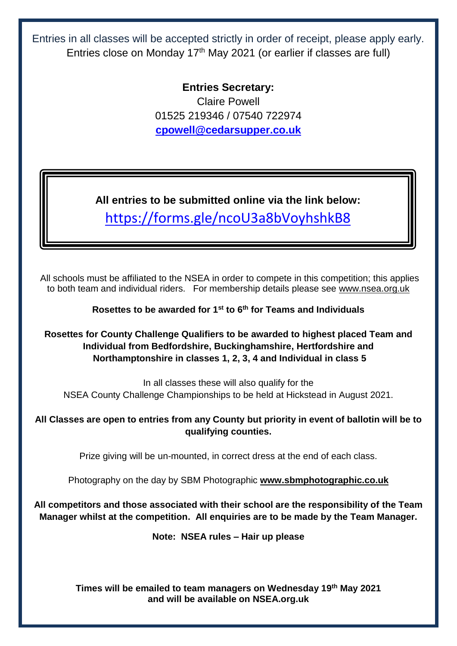Entries in all classes will be accepted strictly in order of receipt, please apply early. Entries close on Monday 17<sup>th</sup> May 2021 (or earlier if classes are full)

> **Entries Secretary:** Claire Powell 01525 219346 / 07540 722974 **[cpowell@cedarsupper.co.uk](mailto:cpowell@cedarsupper.co.uk)**

**All entries to be submitted online via the link below:** <https://forms.gle/ncoU3a8bVoyhshkB8>

All schools must be affiliated to the NSEA in order to compete in this competition; this applies to both team and individual riders. For membership details please see [www.nsea.org.uk](http://www.nsea.org.uk/)

**Rosettes to be awarded for 1st to 6 th for Teams and Individuals** 

**Rosettes for County Challenge Qualifiers to be awarded to highest placed Team and Individual from Bedfordshire, Buckinghamshire, Hertfordshire and Northamptonshire in classes 1, 2, 3, 4 and Individual in class 5**

In all classes these will also qualify for the NSEA County Challenge Championships to be held at Hickstead in August 2021.

**All Classes are open to entries from any County but priority in event of ballotin will be to qualifying counties.**

Prize giving will be un-mounted, in correct dress at the end of each class.

Photography on the day by SBM Photographic **[www.sbmphotographic.co.uk](http://www.sbmphotographic.co.uk/)**

**All competitors and those associated with their school are the responsibility of the Team Manager whilst at the competition. All enquiries are to be made by the Team Manager.**

**Note: NSEA rules – Hair up please**

**Times will be emailed to team managers on Wednesday 19 th May 2021 and will be available on NSEA.org.uk**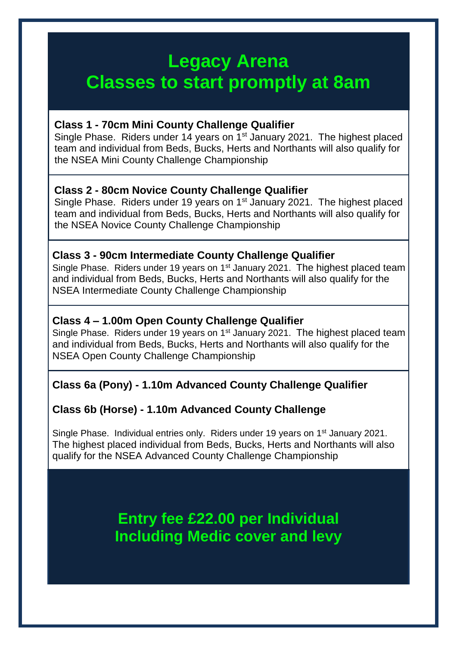### **Legacy Arena Classes to start promptly at 8am**

#### **Class 1 - 70cm Mini County Challenge Qualifier**

Single Phase. Riders under 14 years on 1<sup>st</sup> January 2021. The highest placed team and individual from Beds, Bucks, Herts and Northants will also qualify for the NSEA Mini County Challenge Championship

#### **Class 2 - 80cm Novice County Challenge Qualifier**

Single Phase. Riders under 19 years on 1<sup>st</sup> January 2021. The highest placed team and individual from Beds, Bucks, Herts and Northants will also qualify for the NSEA Novice County Challenge Championship

#### **Class 3 - 90cm Intermediate County Challenge Qualifier**

Single Phase. Riders under 19 years on 1<sup>st</sup> January 2021. The highest placed team and individual from Beds, Bucks, Herts and Northants will also qualify for the NSEA Intermediate County Challenge Championship

#### **Class 4 – 1.00m Open County Challenge Qualifier**

Single Phase. Riders under 19 years on 1<sup>st</sup> January 2021. The highest placed team and individual from Beds, Bucks, Herts and Northants will also qualify for the NSEA Open County Challenge Championship

#### **Class 6a (Pony) - 1.10m Advanced County Challenge Qualifier**

#### **Class 6b (Horse) - 1.10m Advanced County Challenge**

Single Phase. Individual entries only. Riders under 19 years on 1st January 2021. The highest placed individual from Beds, Bucks, Herts and Northants will also qualify for the NSEA Advanced County Challenge Championship

> **Entry fee £22.00 per Individual Including Medic cover and levy**